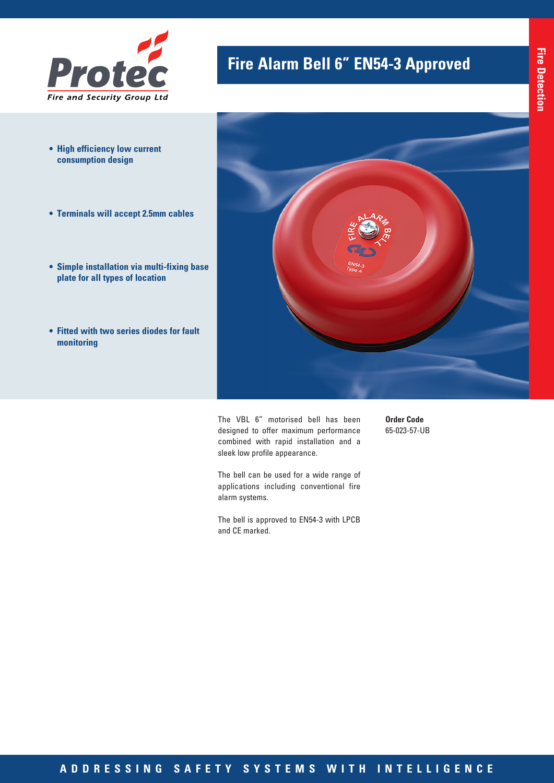

- **• High efficiency low current consumption design**
- **• Terminals will accept 2.5mm cables**
- **• Simple installation via multi-fixing base plate for all types of location**
- **• Fitted with two series diodes for fault monitoring**

## **Fire Alarm Bell 6" EN54-3 Approved**



The VBL 6" motorised bell has been designed to offer maximum performance combined with rapid installation and a sleek low profile appearance.

**Order Code** 65-023-57-UB

The bell can be used for a wide range of applications including conventional fire alarm systems.

The bell is approved to EN54-3 with LPCB and CE marked.